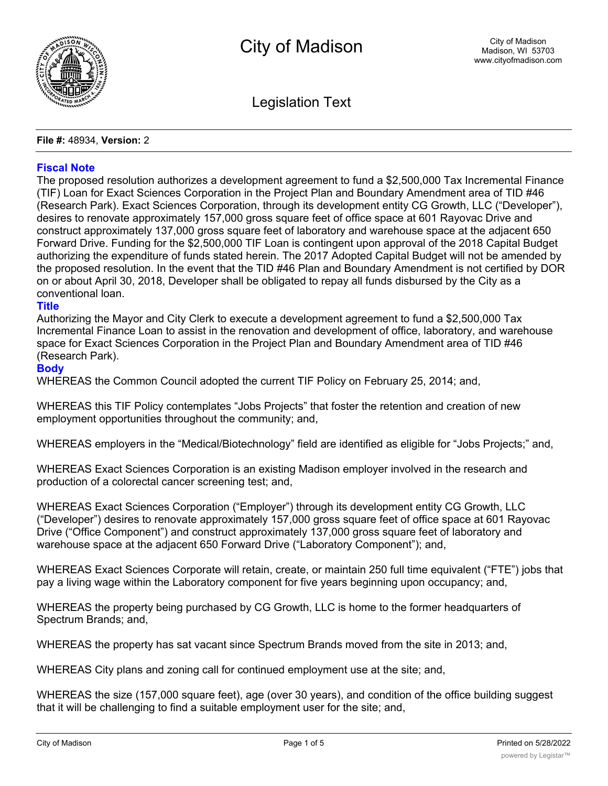

Legislation Text

**File #:** 48934, **Version:** 2

# **Fiscal Note**

The proposed resolution authorizes a development agreement to fund a \$2,500,000 Tax Incremental Finance (TIF) Loan for Exact Sciences Corporation in the Project Plan and Boundary Amendment area of TID #46 (Research Park). Exact Sciences Corporation, through its development entity CG Growth, LLC ("Developer"), desires to renovate approximately 157,000 gross square feet of office space at 601 Rayovac Drive and construct approximately 137,000 gross square feet of laboratory and warehouse space at the adjacent 650 Forward Drive. Funding for the \$2,500,000 TIF Loan is contingent upon approval of the 2018 Capital Budget authorizing the expenditure of funds stated herein. The 2017 Adopted Capital Budget will not be amended by the proposed resolution. In the event that the TID #46 Plan and Boundary Amendment is not certified by DOR on or about April 30, 2018, Developer shall be obligated to repay all funds disbursed by the City as a conventional loan.

## **Title**

Authorizing the Mayor and City Clerk to execute a development agreement to fund a \$2,500,000 Tax Incremental Finance Loan to assist in the renovation and development of office, laboratory, and warehouse space for Exact Sciences Corporation in the Project Plan and Boundary Amendment area of TID #46 (Research Park).

## **Body**

WHEREAS the Common Council adopted the current TIF Policy on February 25, 2014; and,

WHEREAS this TIF Policy contemplates "Jobs Projects" that foster the retention and creation of new employment opportunities throughout the community; and,

WHEREAS employers in the "Medical/Biotechnology" field are identified as eligible for "Jobs Projects;" and,

WHEREAS Exact Sciences Corporation is an existing Madison employer involved in the research and production of a colorectal cancer screening test; and,

WHEREAS Exact Sciences Corporation ("Employer") through its development entity CG Growth, LLC ("Developer") desires to renovate approximately 157,000 gross square feet of office space at 601 Rayovac Drive ("Office Component") and construct approximately 137,000 gross square feet of laboratory and warehouse space at the adjacent 650 Forward Drive ("Laboratory Component"); and,

WHEREAS Exact Sciences Corporate will retain, create, or maintain 250 full time equivalent ("FTE") jobs that pay a living wage within the Laboratory component for five years beginning upon occupancy; and,

WHEREAS the property being purchased by CG Growth, LLC is home to the former headquarters of Spectrum Brands; and,

WHEREAS the property has sat vacant since Spectrum Brands moved from the site in 2013; and,

WHEREAS City plans and zoning call for continued employment use at the site; and,

WHEREAS the size (157,000 square feet), age (over 30 years), and condition of the office building suggest that it will be challenging to find a suitable employment user for the site; and,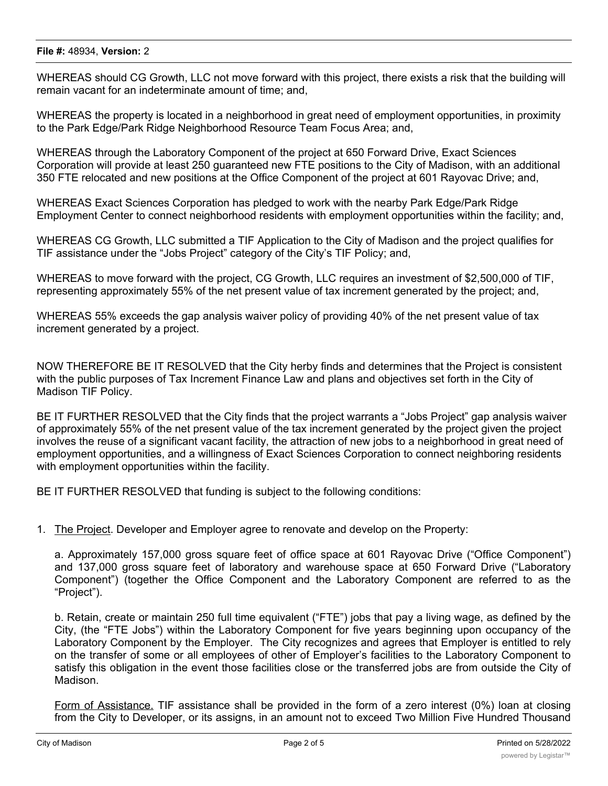### **File #:** 48934, **Version:** 2

WHEREAS should CG Growth, LLC not move forward with this project, there exists a risk that the building will remain vacant for an indeterminate amount of time; and,

WHEREAS the property is located in a neighborhood in great need of employment opportunities, in proximity to the Park Edge/Park Ridge Neighborhood Resource Team Focus Area; and,

WHEREAS through the Laboratory Component of the project at 650 Forward Drive, Exact Sciences Corporation will provide at least 250 guaranteed new FTE positions to the City of Madison, with an additional 350 FTE relocated and new positions at the Office Component of the project at 601 Rayovac Drive; and,

WHEREAS Exact Sciences Corporation has pledged to work with the nearby Park Edge/Park Ridge Employment Center to connect neighborhood residents with employment opportunities within the facility; and,

WHEREAS CG Growth, LLC submitted a TIF Application to the City of Madison and the project qualifies for TIF assistance under the "Jobs Project" category of the City's TIF Policy; and,

WHEREAS to move forward with the project, CG Growth, LLC requires an investment of \$2,500,000 of TIF, representing approximately 55% of the net present value of tax increment generated by the project; and,

WHEREAS 55% exceeds the gap analysis waiver policy of providing 40% of the net present value of tax increment generated by a project.

NOW THEREFORE BE IT RESOLVED that the City herby finds and determines that the Project is consistent with the public purposes of Tax Increment Finance Law and plans and objectives set forth in the City of Madison TIF Policy.

BE IT FURTHER RESOLVED that the City finds that the project warrants a "Jobs Project" gap analysis waiver of approximately 55% of the net present value of the tax increment generated by the project given the project involves the reuse of a significant vacant facility, the attraction of new jobs to a neighborhood in great need of employment opportunities, and a willingness of Exact Sciences Corporation to connect neighboring residents with employment opportunities within the facility.

BE IT FURTHER RESOLVED that funding is subject to the following conditions:

1. The Project. Developer and Employer agree to renovate and develop on the Property:

a. Approximately 157,000 gross square feet of office space at 601 Rayovac Drive ("Office Component") and 137,000 gross square feet of laboratory and warehouse space at 650 Forward Drive ("Laboratory Component") (together the Office Component and the Laboratory Component are referred to as the "Project").

b. Retain, create or maintain 250 full time equivalent ("FTE") jobs that pay a living wage, as defined by the City, (the "FTE Jobs") within the Laboratory Component for five years beginning upon occupancy of the Laboratory Component by the Employer. The City recognizes and agrees that Employer is entitled to rely on the transfer of some or all employees of other of Employer's facilities to the Laboratory Component to satisfy this obligation in the event those facilities close or the transferred jobs are from outside the City of Madison.

Form of Assistance. TIF assistance shall be provided in the form of a zero interest (0%) loan at closing from the City to Developer, or its assigns, in an amount not to exceed Two Million Five Hundred Thousand  $\mathcal{L}(\mathcal{L}(\mathcal{L}(\mathcal{L}(\mathcal{L}(\mathcal{L}(\mathcal{L}(\mathcal{L}(\mathcal{L}(\mathcal{L}(\mathcal{L}(\mathcal{L}(\mathcal{L}(\mathcal{L}(\mathcal{L}(\mathcal{L}(\mathcal{L}(\mathcal{L}(\mathcal{L}(\mathcal{L}(\mathcal{L}(\mathcal{L}(\mathcal{L}(\mathcal{L}(\mathcal{L}(\mathcal{L}(\mathcal{L}(\mathcal{L}(\mathcal{L}(\mathcal{L}(\mathcal{L}(\mathcal{L}(\mathcal{L}(\mathcal{L}(\mathcal{L}(\mathcal{L}(\mathcal{$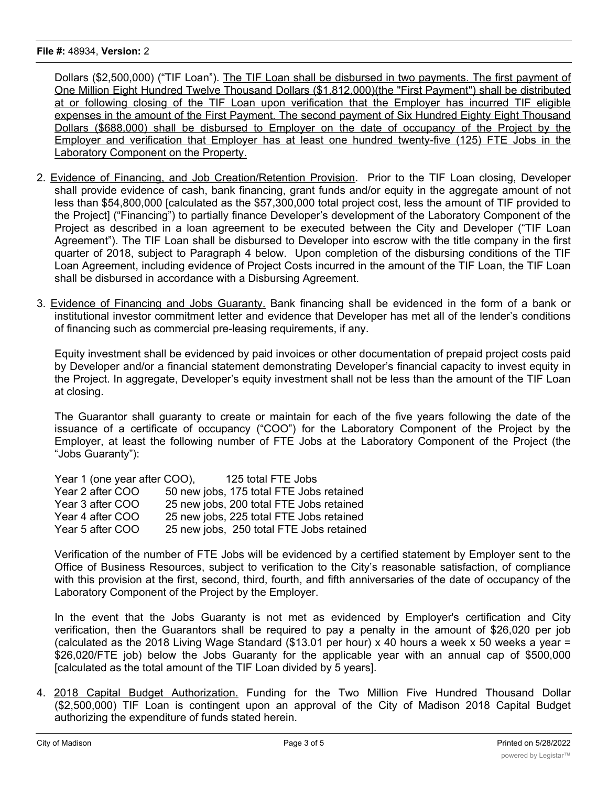### **File #:** 48934, **Version:** 2

Dollars (\$2,500,000) ("TIF Loan"). The TIF Loan shall be disbursed in two payments. The first payment of One Million Eight Hundred Twelve Thousand Dollars (\$1,812,000)(the "First Payment") shall be distributed at or following closing of the TIF Loan upon verification that the Employer has incurred TIF eligible expenses in the amount of the First Payment. The second payment of Six Hundred Eighty Eight Thousand Dollars (\$688,000) shall be disbursed to Employer on the date of occupancy of the Project by the Employer and verification that Employer has at least one hundred twenty-five (125) FTE Jobs in the Laboratory Component on the Property.

- 2. Evidence of Financing, and Job Creation/Retention Provision. Prior to the TIF Loan closing, Developer shall provide evidence of cash, bank financing, grant funds and/or equity in the aggregate amount of not less than \$54,800,000 [calculated as the \$57,300,000 total project cost, less the amount of TIF provided to the Project] ("Financing") to partially finance Developer's development of the Laboratory Component of the Project as described in a loan agreement to be executed between the City and Developer ("TIF Loan Agreement"). The TIF Loan shall be disbursed to Developer into escrow with the title company in the first quarter of 2018, subject to Paragraph 4 below. Upon completion of the disbursing conditions of the TIF Loan Agreement, including evidence of Project Costs incurred in the amount of the TIF Loan, the TIF Loan shall be disbursed in accordance with a Disbursing Agreement.
- 3. Evidence of Financing and Jobs Guaranty. Bank financing shall be evidenced in the form of a bank or institutional investor commitment letter and evidence that Developer has met all of the lender's conditions of financing such as commercial pre-leasing requirements, if any.

Equity investment shall be evidenced by paid invoices or other documentation of prepaid project costs paid by Developer and/or a financial statement demonstrating Developer's financial capacity to invest equity in the Project. In aggregate, Developer's equity investment shall not be less than the amount of the TIF Loan at closing.

The Guarantor shall guaranty to create or maintain for each of the five years following the date of the issuance of a certificate of occupancy ("COO") for the Laboratory Component of the Project by the Employer, at least the following number of FTE Jobs at the Laboratory Component of the Project (the "Jobs Guaranty"):

| Year 1 (one year after COO), | 125 total FTE Jobs                       |
|------------------------------|------------------------------------------|
| Year 2 after COO             | 50 new jobs, 175 total FTE Jobs retained |
| Year 3 after COO             | 25 new jobs, 200 total FTE Jobs retained |
| Year 4 after COO             | 25 new jobs, 225 total FTE Jobs retained |
| Year 5 after COO             | 25 new jobs, 250 total FTE Jobs retained |

Verification of the number of FTE Jobs will be evidenced by a certified statement by Employer sent to the Office of Business Resources, subject to verification to the City's reasonable satisfaction, of compliance with this provision at the first, second, third, fourth, and fifth anniversaries of the date of occupancy of the Laboratory Component of the Project by the Employer.

In the event that the Jobs Guaranty is not met as evidenced by Employer's certification and City verification, then the Guarantors shall be required to pay a penalty in the amount of \$26,020 per job (calculated as the 2018 Living Wage Standard (\$13.01 per hour) x 40 hours a week x 50 weeks a year = \$26,020/FTE job) below the Jobs Guaranty for the applicable year with an annual cap of \$500,000 [calculated as the total amount of the TIF Loan divided by 5 years].

4. 2018 Capital Budget Authorization. Funding for the Two Million Five Hundred Thousand Dollar (\$2,500,000) TIF Loan is contingent upon an approval of the City of Madison 2018 Capital Budget authorizing the expenditure of funds stated herein.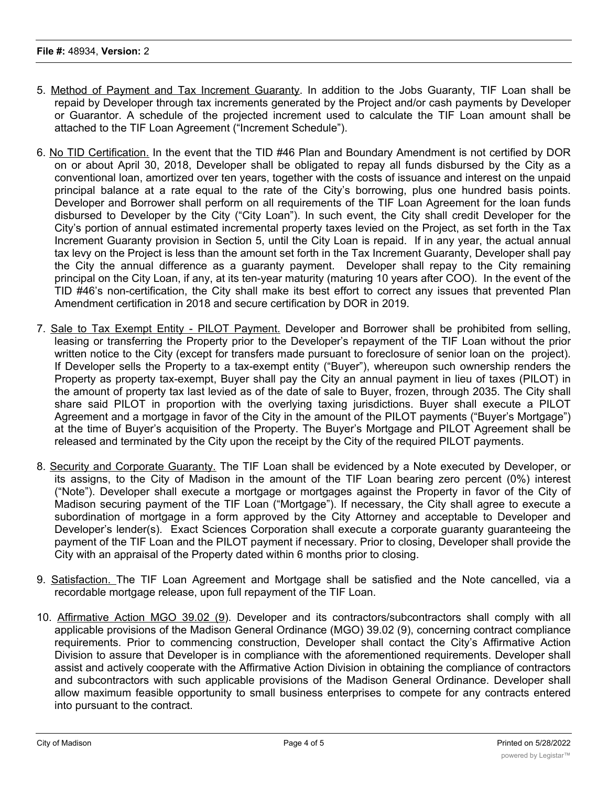- 5. Method of Payment and Tax Increment Guaranty. In addition to the Jobs Guaranty, TIF Loan shall be repaid by Developer through tax increments generated by the Project and/or cash payments by Developer or Guarantor. A schedule of the projected increment used to calculate the TIF Loan amount shall be attached to the TIF Loan Agreement ("Increment Schedule").
- 6. No TID Certification. In the event that the TID #46 Plan and Boundary Amendment is not certified by DOR on or about April 30, 2018, Developer shall be obligated to repay all funds disbursed by the City as a conventional loan, amortized over ten years, together with the costs of issuance and interest on the unpaid principal balance at a rate equal to the rate of the City's borrowing, plus one hundred basis points. Developer and Borrower shall perform on all requirements of the TIF Loan Agreement for the loan funds disbursed to Developer by the City ("City Loan"). In such event, the City shall credit Developer for the City's portion of annual estimated incremental property taxes levied on the Project, as set forth in the Tax Increment Guaranty provision in Section 5, until the City Loan is repaid. If in any year, the actual annual tax levy on the Project is less than the amount set forth in the Tax Increment Guaranty, Developer shall pay the City the annual difference as a guaranty payment. Developer shall repay to the City remaining principal on the City Loan, if any, at its ten-year maturity (maturing 10 years after COO). In the event of the TID #46's non-certification, the City shall make its best effort to correct any issues that prevented Plan Amendment certification in 2018 and secure certification by DOR in 2019.
- 7. Sale to Tax Exempt Entity PILOT Payment. Developer and Borrower shall be prohibited from selling, leasing or transferring the Property prior to the Developer's repayment of the TIF Loan without the prior written notice to the City (except for transfers made pursuant to foreclosure of senior loan on the project). If Developer sells the Property to a tax-exempt entity ("Buyer"), whereupon such ownership renders the Property as property tax-exempt, Buyer shall pay the City an annual payment in lieu of taxes (PILOT) in the amount of property tax last levied as of the date of sale to Buyer, frozen, through 2035. The City shall share said PILOT in proportion with the overlying taxing jurisdictions. Buyer shall execute a PILOT Agreement and a mortgage in favor of the City in the amount of the PILOT payments ("Buyer's Mortgage") at the time of Buyer's acquisition of the Property. The Buyer's Mortgage and PILOT Agreement shall be released and terminated by the City upon the receipt by the City of the required PILOT payments.
- 8. Security and Corporate Guaranty. The TIF Loan shall be evidenced by a Note executed by Developer, or its assigns, to the City of Madison in the amount of the TIF Loan bearing zero percent (0%) interest ("Note"). Developer shall execute a mortgage or mortgages against the Property in favor of the City of Madison securing payment of the TIF Loan ("Mortgage"). If necessary, the City shall agree to execute a subordination of mortgage in a form approved by the City Attorney and acceptable to Developer and Developer's lender(s). Exact Sciences Corporation shall execute a corporate guaranty guaranteeing the payment of the TIF Loan and the PILOT payment if necessary. Prior to closing, Developer shall provide the City with an appraisal of the Property dated within 6 months prior to closing.
- 9. Satisfaction. The TIF Loan Agreement and Mortgage shall be satisfied and the Note cancelled, via a recordable mortgage release, upon full repayment of the TIF Loan.
- 10. Affirmative Action MGO 39.02 (9). Developer and its contractors/subcontractors shall comply with all applicable provisions of the Madison General Ordinance (MGO) 39.02 (9), concerning contract compliance requirements. Prior to commencing construction, Developer shall contact the City's Affirmative Action Division to assure that Developer is in compliance with the aforementioned requirements. Developer shall assist and actively cooperate with the Affirmative Action Division in obtaining the compliance of contractors and subcontractors with such applicable provisions of the Madison General Ordinance. Developer shall allow maximum feasible opportunity to small business enterprises to compete for any contracts entered into pursuant to the contract.